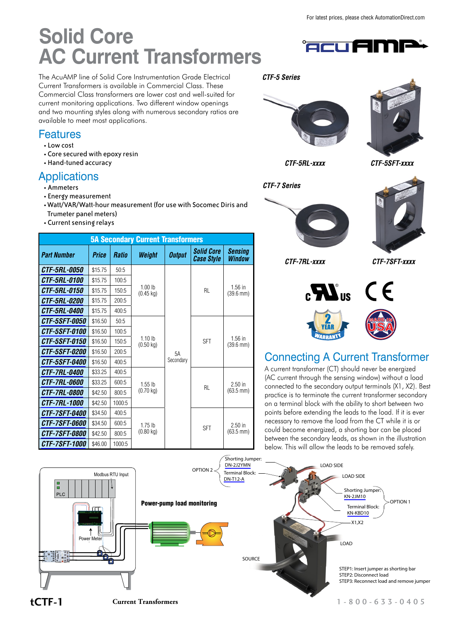# **Solid Core AC Current Transformers**

The AcuAMP line of Solid Core Instrumentation Grade Electrical Current Transformers is available in Commercial Class. These Commercial Class transformers are lower cost and well-suited for current monitoring applications. Two different window openings and two mounting styles along with numerous secondary ratios are available to meet most applications.

### Features

- Low cost
- Core secured with epoxy resin
- Hand-tuned accuracy

### Applications

- Ammeters
- Energy measurement
- •Watt/VAR/Watt-hour measurement (for use with Socomec Diris and Trumeter panel meters)
- Current sensing relays

| <b>5A Secondary Current Transformers</b> |         |              |                                          |                 |                                 |                                    |  |  |
|------------------------------------------|---------|--------------|------------------------------------------|-----------------|---------------------------------|------------------------------------|--|--|
| <b>Part Number</b>                       | Price   | <b>Ratio</b> | Weight                                   | <b>Output</b>   | <b>Solid Core</b><br>Case Style | <b>Sensing</b><br><b>Window</b>    |  |  |
| <i>CTF-5RL-0050</i>                      | \$15.75 | 50:5         |                                          | 5A<br>Secondary | RL.                             | $1.56$ in<br>$(39.6 \, \text{mm})$ |  |  |
| <i><b>CTF-5RL-0100</b></i>               | \$15.75 | 100:5        |                                          |                 |                                 |                                    |  |  |
| <i><b>CTF-5RL-0150</b></i>               | \$15.75 | 150:5        | 1.00 <sub>h</sub><br>$(0.45 \text{ kg})$ |                 |                                 |                                    |  |  |
| <i><b>CTF-5RL-0200</b></i>               | \$15.75 | 200:5        |                                          |                 |                                 |                                    |  |  |
| <i><b>CTF-5RL-0400</b></i>               | \$15.75 | 400:5        |                                          |                 |                                 |                                    |  |  |
| <i><b>CTF-5SFT-0050</b></i>              | \$16.50 | 50:5         | 1.10 <sub>h</sub><br>$(0.50 \text{ kg})$ |                 | <b>SFT</b>                      | $1.56$ in<br>$(39.6 \, \text{mm})$ |  |  |
| <i><b>CTF-5SFT-0100</b></i>              | \$16.50 | 100:5        |                                          |                 |                                 |                                    |  |  |
| <i><b>CTF-5SFT-0150</b></i>              | \$16.50 | 150:5        |                                          |                 |                                 |                                    |  |  |
| <i><b>CTF-5SFT-0200</b></i>              | \$16.50 | 200:5        |                                          |                 |                                 |                                    |  |  |
| <i><b>CTF-5SFT-0400</b></i>              | \$16.50 | 400:5        |                                          |                 |                                 |                                    |  |  |
| <i><b>CTF-7RL-0400</b></i>               | \$33.25 | 400:5        | $1.55$ lb                                |                 | RL.                             | $2.50$ in<br>$(63.5 \text{ mm})$   |  |  |
| <i><b>CTF-7RL-0600</b></i>               | \$33.25 | 600:5        |                                          |                 |                                 |                                    |  |  |
| <i>CTF-7RL-0800</i>                      | \$42.50 | 800:5        | $(0.70 \text{ kg})$                      |                 |                                 |                                    |  |  |
| <i><b>CTF-7RL-1000</b></i>               | \$42.50 | 1000:5       |                                          |                 |                                 |                                    |  |  |
| <i><b>CTF-7SFT-0400</b></i>              | \$34.50 | 400:5        | $1.75$ lb                                |                 | <b>SFT</b>                      | $2.50$ in<br>$(63.5 \text{ mm})$   |  |  |
| <i><b>CTF-7SFT-0600</b></i>              | \$34.50 | 600:5        |                                          |                 |                                 |                                    |  |  |
| <i><b>CTF-7SFT-0800</b></i>              | \$42.50 | 800:5        | $(0.80 \text{ kg})$                      |                 |                                 |                                    |  |  |
| <i><b>CTF-7SFT-1000</b></i>              | \$46.00 | 1000:5       |                                          |                 |                                 |                                    |  |  |





®

*CTF-5RL-xxxx CTF-5SFT-xxxx*

*CTF-7 Series*

*CTF-5 Series*



*CTF-7RL-xxxx CTF-7SFT-xxxx*



### Connecting A Current Transformer

A current transformer (CT) should never be energized (AC current through the sensing window) without a load connected to the secondary output terminals (X1, X2). Best practice is to terminate the current transformer secondary on a terminal block with the ability to short between two points before extending the leads to the load. If it is ever necessary to remove the load from the CT while it is or could become energized, a shorting bar can be placed between the secondary leads, as shown in the illustration below. This will allow the leads to be removed safely.

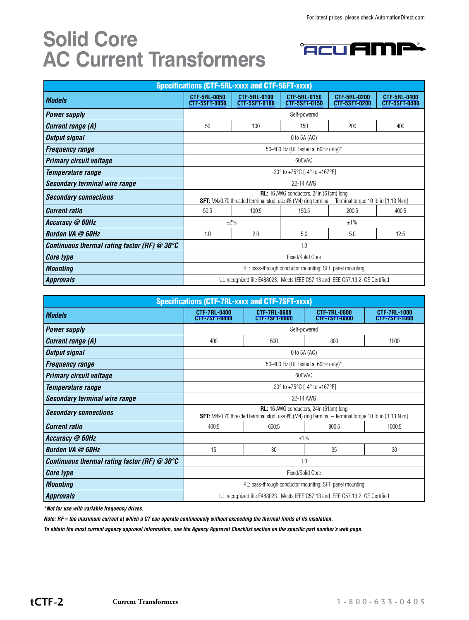## **Solid Core AC Current Transformers**



| <b>Specifications (CTF-5RL-xxxx and CTF-5SFT-xxxx)</b> |                                                                                                                                                                 |                                      |                                      |                                      |                                      |  |  |  |  |
|--------------------------------------------------------|-----------------------------------------------------------------------------------------------------------------------------------------------------------------|--------------------------------------|--------------------------------------|--------------------------------------|--------------------------------------|--|--|--|--|
| <b>Models</b>                                          | <b>CTF-5RL-0050</b><br><b>CTF-5SFT-0050</b>                                                                                                                     | CTF-5RL-0100<br><b>CTF-5SFT-0100</b> | CTF-5RL-0150<br><b>CTF-5SFT-0150</b> | CTF-5RL-0200<br><b>CTF-5SFT-0200</b> | CTF-5RL-0400<br><b>CTF-5SFT-0400</b> |  |  |  |  |
| <b>Power supply</b>                                    | Self-powered                                                                                                                                                    |                                      |                                      |                                      |                                      |  |  |  |  |
| <b>Current range (A)</b>                               | 50                                                                                                                                                              | 100                                  | 150                                  | 200                                  | 400                                  |  |  |  |  |
| Output signal                                          | $0$ to 5A (AC)                                                                                                                                                  |                                      |                                      |                                      |                                      |  |  |  |  |
| <b>Frequency range</b>                                 | 50-400 Hz (UL tested at 60Hz only)*                                                                                                                             |                                      |                                      |                                      |                                      |  |  |  |  |
| <b>Primary circuit voltage</b>                         | 600VAC                                                                                                                                                          |                                      |                                      |                                      |                                      |  |  |  |  |
| Temperature range                                      | $-20^{\circ}$ to $+75^{\circ}$ C [ $-4^{\circ}$ to $+167^{\circ}$ F]                                                                                            |                                      |                                      |                                      |                                      |  |  |  |  |
| Secondary terminal wire range                          | 22-14 AWG                                                                                                                                                       |                                      |                                      |                                      |                                      |  |  |  |  |
| <b>Secondary connections</b>                           | <b>RL:</b> 16 AWG conductors, 24in (61cm) long<br><b>SFT:</b> M4x0.70 threaded terminal stud, use #8 (M4) ring terminal $-$ Terminal torque 10 lb in [1.13 N·m] |                                      |                                      |                                      |                                      |  |  |  |  |
| <i>Current ratio</i>                                   | 50:5                                                                                                                                                            | 100:5                                | 150:5                                | 200:5                                | 400:5                                |  |  |  |  |
| Accuracy @ 60Hz                                        | $+2%$                                                                                                                                                           |                                      | $±1\%$                               |                                      |                                      |  |  |  |  |
| Burden VA @ 60Hz                                       | 1.0                                                                                                                                                             | 2.0                                  | 5.0                                  | 5.0                                  | 12.5                                 |  |  |  |  |
| Continuous thermal rating factor (RF) $@30^{\circ}C$   | 1.0                                                                                                                                                             |                                      |                                      |                                      |                                      |  |  |  |  |
| <b>Core type</b>                                       | <b>Fixed/Solid Core</b>                                                                                                                                         |                                      |                                      |                                      |                                      |  |  |  |  |
| <b>Mounting</b>                                        | RL: pass-through conductor mounting; SFT: panel mounting                                                                                                        |                                      |                                      |                                      |                                      |  |  |  |  |
| <i>Approvals</i>                                       | UL recognized file E488023. Meets IEEE C57.13 and IEEE C57.13.2, CE Certified                                                                                   |                                      |                                      |                                      |                                      |  |  |  |  |

| <b>Specifications (CTF-7RL-xxxx and CTF-7SFT-xxxx)</b> |                                                                                                                                                        |                                             |                                             |                                      |  |  |  |  |
|--------------------------------------------------------|--------------------------------------------------------------------------------------------------------------------------------------------------------|---------------------------------------------|---------------------------------------------|--------------------------------------|--|--|--|--|
| <b>Models</b>                                          | <b>CTF-7RL-0400</b><br>CTF-7SFT-0400                                                                                                                   | <b>CTF-7RL-0600</b><br><b>CTF-7SFT-0600</b> | <b>CTF-7RL-0800</b><br><b>CTF-7SFT-0800</b> | <b>CTF-7RL-1000</b><br>CTF-7SFT-1000 |  |  |  |  |
| <b>Power supply</b>                                    | Self-powered                                                                                                                                           |                                             |                                             |                                      |  |  |  |  |
| Current range (A)                                      | 400                                                                                                                                                    | 600                                         | 800                                         | 1000                                 |  |  |  |  |
| <b>Output signal</b>                                   | $0$ to 5A (AC)                                                                                                                                         |                                             |                                             |                                      |  |  |  |  |
| <b>Frequency range</b>                                 | 50-400 Hz (UL tested at 60Hz only)*                                                                                                                    |                                             |                                             |                                      |  |  |  |  |
| <b>Primary circuit voltage</b>                         | 600VAC                                                                                                                                                 |                                             |                                             |                                      |  |  |  |  |
| Temperature range                                      | $-20^{\circ}$ to $+75^{\circ}$ C [ $-4^{\circ}$ to $+167^{\circ}$ F]                                                                                   |                                             |                                             |                                      |  |  |  |  |
| <b>Secondary terminal wire range</b>                   | 22-14 AWG                                                                                                                                              |                                             |                                             |                                      |  |  |  |  |
| <b>Secondary connections</b>                           | <b>RL:</b> 16 AWG conductors, 24in (61cm) long<br>SFT: M4x0.70 threaded terminal stud, use #8 (M4) ring terminal - Terminal torque 10 lb in [1.13 N·m] |                                             |                                             |                                      |  |  |  |  |
| <b>Current ratio</b>                                   | 400:5                                                                                                                                                  | 600:5                                       | 800:5                                       | 1000:5                               |  |  |  |  |
| Accuracy @ 60Hz                                        | $+1%$                                                                                                                                                  |                                             |                                             |                                      |  |  |  |  |
| <b>Burden VA @ 60Hz</b>                                | 15                                                                                                                                                     | 30                                          | 35                                          | 30                                   |  |  |  |  |
| Continuous thermal rating factor (RF) $@30^{\circ}C$   | 1.0                                                                                                                                                    |                                             |                                             |                                      |  |  |  |  |
| <b>Core type</b>                                       | <b>Fixed/Solid Core</b>                                                                                                                                |                                             |                                             |                                      |  |  |  |  |
| <b>Mounting</b>                                        | RL: pass-through conductor mounting; SFT: panel mounting                                                                                               |                                             |                                             |                                      |  |  |  |  |
| <b>Approvals</b>                                       | UL recognized file E488023. Meets IEEE C57.13 and IEEE C57.13.2, CE Certified                                                                          |                                             |                                             |                                      |  |  |  |  |

*\*Not for use with variable frequency drives.*

*Note: RF = the maximum current at which a CT can operate continuously without exceeding the thermal limits of its insulation.*

*To obtain the most current agency approval information, see the Agency Approval Checklist section on the specific part number's web page.*